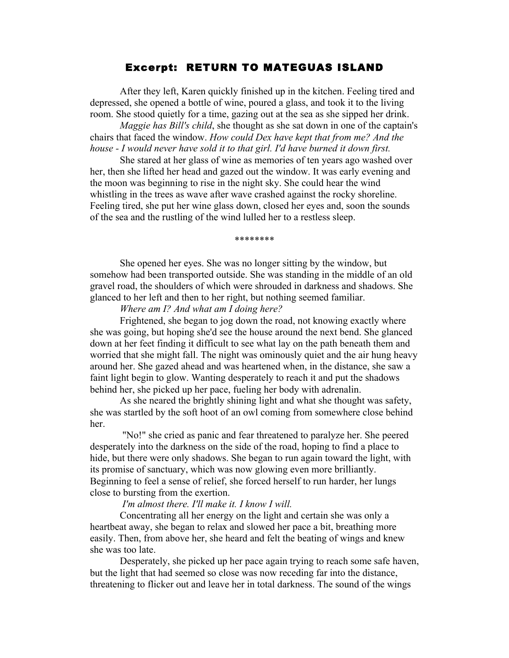## Excerpt: RETURN TO MATEGUAS ISLAND

After they left, Karen quickly finished up in the kitchen. Feeling tired and depressed, she opened a bottle of wine, poured a glass, and took it to the living room. She stood quietly for a time, gazing out at the sea as she sipped her drink.

*Maggie has Bill's child*, she thought as she sat down in one of the captain's chairs that faced the window. *How could Dex have kept that from me? And the house - I would never have sold it to that girl. I'd have burned it down first.* 

She stared at her glass of wine as memories of ten years ago washed over her, then she lifted her head and gazed out the window. It was early evening and the moon was beginning to rise in the night sky. She could hear the wind whistling in the trees as wave after wave crashed against the rocky shoreline. Feeling tired, she put her wine glass down, closed her eyes and, soon the sounds of the sea and the rustling of the wind lulled her to a restless sleep.

\*\*\*\*\*\*\*\*

She opened her eyes. She was no longer sitting by the window, but somehow had been transported outside. She was standing in the middle of an old gravel road, the shoulders of which were shrouded in darkness and shadows. She glanced to her left and then to her right, but nothing seemed familiar.

## *Where am I? And what am I doing here?*

Frightened, she began to jog down the road, not knowing exactly where she was going, but hoping she'd see the house around the next bend. She glanced down at her feet finding it difficult to see what lay on the path beneath them and worried that she might fall. The night was ominously quiet and the air hung heavy around her. She gazed ahead and was heartened when, in the distance, she saw a faint light begin to glow. Wanting desperately to reach it and put the shadows behind her, she picked up her pace, fueling her body with adrenalin.

As she neared the brightly shining light and what she thought was safety, she was startled by the soft hoot of an owl coming from somewhere close behind her.

"No!" she cried as panic and fear threatened to paralyze her. She peered desperately into the darkness on the side of the road, hoping to find a place to hide, but there were only shadows. She began to run again toward the light, with its promise of sanctuary, which was now glowing even more brilliantly. Beginning to feel a sense of relief, she forced herself to run harder, her lungs close to bursting from the exertion.

## *I'm almost there. I'll make it. I know I will.*

Concentrating all her energy on the light and certain she was only a heartbeat away, she began to relax and slowed her pace a bit, breathing more easily. Then, from above her, she heard and felt the beating of wings and knew she was too late.

Desperately, she picked up her pace again trying to reach some safe haven, but the light that had seemed so close was now receding far into the distance, threatening to flicker out and leave her in total darkness. The sound of the wings